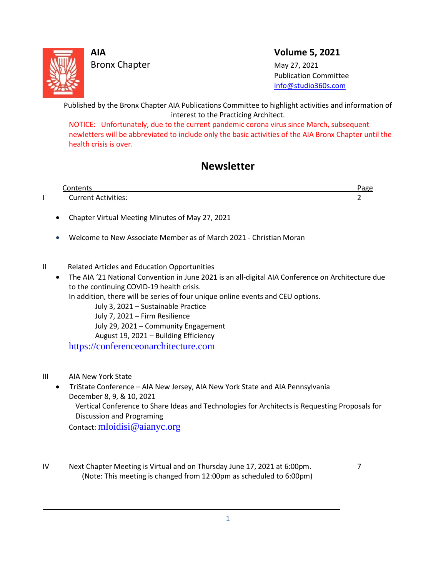

L

Bronx Chapter May 27, 2021

**AIA Volume 5, 2021**

 Publication Committee [info@studio360s.com](mailto:info@studio360s.com)

Published by the Bronx Chapter AIA Publications Committee to highlight activities and information of interest to the Practicing Architect.

NOTICE: Unfortunately, due to the current pandemic corona virus since March, subsequent newletters will be abbreviated to include only the basic activities of the AIA Bronx Chapter until the health crisis is over.

# **Newsletter**

| Contents                   |  |
|----------------------------|--|
| <b>Current Activities:</b> |  |
|                            |  |

- Chapter Virtual Meeting Minutes of May 27, 2021
- Welcome to New Associate Member as of March 2021 Christian Moran
- II Related Articles and Education Opportunities
	- The AIA '21 National Convention in June 2021 is an all-digital AIA Conference on Architecture due to the continuing COVID-19 health crisis.

In addition, there will be series of four unique online events and CEU options.

July 3, 2021 – Sustainable Practice July 7, 2021 – Firm Resilience

July 29, 2021 – Community Engagement

August 19, 2021 – Building Efficiency

[https://conferenceonarchitecture.com](https://conferenceonarchitecture.com/)

III AIA New York State

 $\overline{\phantom{0}}$ 

- TriState Conference AIA New Jersey, AIA New York State and AIA Pennsylvania December 8, 9, & 10, 2021 Vertical Conference to Share Ideas and Technologies for Architects is Requesting Proposals for Discussion and Programing Contact: [mloidisi@aianyc.org](mailto:mloidisi@aianyc.org)
- IV Next Chapter Meeting is Virtual and on Thursday June 17, 2021 at 6:00pm. (Note: This meeting is changed from 12:00pm as scheduled to 6:00pm)

1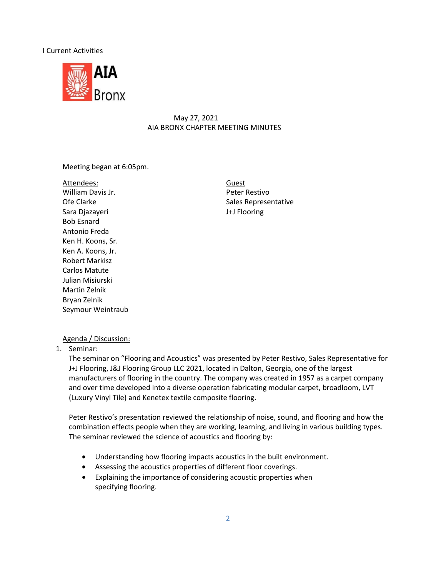#### I Current Activities



### May 27, 2021 AIA BRONX CHAPTER MEETING MINUTES

Meeting began at 6:05pm.

Attendees: William Davis Jr. **Peter Restivo** Ofe Clarke **Sales Representative** Sales Representative Sara Djazayeri J+J Flooring Bob Esnard Antonio Freda Ken H. Koons, Sr. Ken A. Koons, Jr. Robert Markisz Carlos Matute Julian Misiurski Martin Zelnik Bryan Zelnik Seymour Weintraub

Guest

### Agenda / Discussion:

1. Seminar:

The seminar on "Flooring and Acoustics" was presented by Peter Restivo, Sales Representative for J+J Flooring, J&J Flooring Group LLC 2021, located in Dalton, Georgia, one of the largest manufacturers of flooring in the country. The company was created in 1957 as a carpet company and over time developed into a diverse operation fabricating modular carpet, broadloom, LVT (Luxury Vinyl Tile) and Kenetex textile composite flooring.

Peter Restivo's presentation reviewed the relationship of noise, sound, and flooring and how the combination effects people when they are working, learning, and living in various building types. The seminar reviewed the science of acoustics and flooring by:

- Understanding how flooring impacts acoustics in the built environment.
- Assessing the acoustics properties of different floor coverings.
- Explaining the importance of considering acoustic properties when specifying flooring.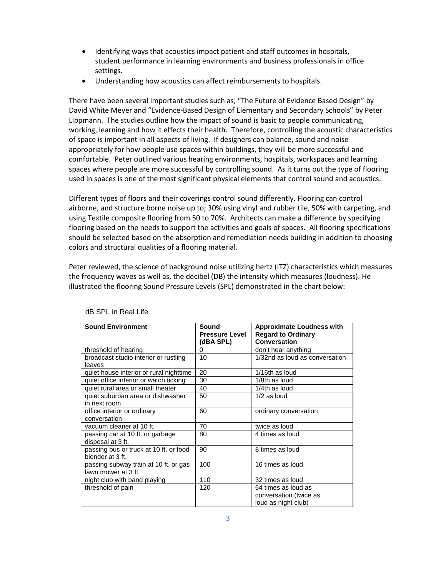- Identifying ways that acoustics impact patient and staff outcomes in hospitals, student performance in learning environments and business professionals in office settings.
- Understanding how acoustics can affect reimbursements to hospitals.

There have been several important studies such as; "The Future of Evidence Based Design" by David White Meyer and "Evidence-Based Design of Elementary and Secondary Schools" by Peter Lippmann. The studies outline how the impact of sound is basic to people communicating, working, learning and how it effects their health. Therefore, controlling the acoustic characteristics of space is important in all aspects of living. If designers can balance, sound and noise appropriately for how people use spaces within buildings, they will be more successful and comfortable. Peter outlined various hearing environments, hospitals, workspaces and learning spaces where people are more successful by controlling sound. As it turns out the type of flooring used in spaces is one of the most significant physical elements that control sound and acoustics.

Different types of floors and their coverings control sound differently. Flooring can control airborne, and structure borne noise up to; 30% using vinyl and rubber tile, 50% with carpeting, and using Textile composite flooring from 50 to 70%. Architects can make a difference by specifying flooring based on the needs to support the activities and goals of spaces. All flooring specifications should be selected based on the absorption and remediation needs building in addition to choosing colors and structural qualities of a flooring material.

Peter reviewed, the science of background noise utilizing hertz (ITZ) characteristics which measures the frequency waves as well as, the decibel (DB) the intensity which measures (loudness). He illustrated the flooring Sound Pressure Levels (SPL) demonstrated in the chart below:

| <b>Sound Environment</b>                | Sound                 | <b>Approximate Loudness with</b> |  |
|-----------------------------------------|-----------------------|----------------------------------|--|
|                                         | <b>Pressure Level</b> | <b>Regard to Ordinary</b>        |  |
|                                         | (dBA SPL)             | Conversation                     |  |
| threshold of hearing                    | 0                     | don't hear anything              |  |
| broadcast studio interior or rustling   | 10                    | 1/32nd as loud as conversation   |  |
| leaves                                  |                       |                                  |  |
| quiet house interior or rural nighttime | 20                    | 1/16th as loud                   |  |
| quiet office interior or watch ticking  | 30                    | 1/8th as loud                    |  |
| quiet rural area or small theater       | 40                    | 1/4th as loud                    |  |
| quiet suburban area or dishwasher       | 50                    | $1/2$ as loud                    |  |
| in next room                            |                       |                                  |  |
| office interior or ordinary             | 60                    | ordinary conversation            |  |
| conversation                            |                       |                                  |  |
| vacuum cleaner at 10 ft.                | 70                    | twice as loud                    |  |
| passing car at 10 ft. or garbage        | 80                    | 4 times as loud                  |  |
| disposal at 3 ft.                       |                       |                                  |  |
| passing bus or truck at 10 ft. or food  | 90                    | 8 times as loud                  |  |
| blender at 3 ft.                        |                       |                                  |  |
| passing subway train at 10 ft. or gas   | 100                   | 16 times as loud                 |  |
| lawn mower at 3 ft.                     |                       |                                  |  |
| night club with band playing            | 110                   | 32 times as loud                 |  |
| threshold of pain                       | 120                   | 64 times as loud as              |  |
|                                         |                       | conversation (twice as           |  |
|                                         |                       | loud as night club)              |  |

dB SPL in Real Life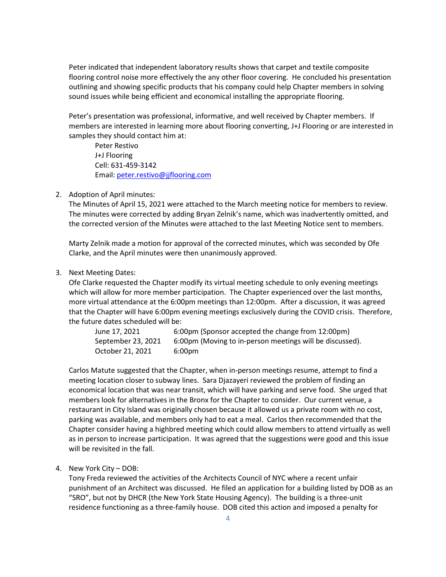Peter indicated that independent laboratory results shows that carpet and textile composite flooring control noise more effectively the any other floor covering. He concluded his presentation outlining and showing specific products that his company could help Chapter members in solving sound issues while being efficient and economical installing the appropriate flooring.

Peter's presentation was professional, informative, and well received by Chapter members. If members are interested in learning more about flooring converting, J+J Flooring or are interested in samples they should contact him at:

Peter Restivo J+J Flooring Cell: 631-459-3142 Email: [peter.restivo@jjflooring.com](mailto:peter.restivo@jjflooring.com)

#### 2. Adoption of April minutes:

The Minutes of April 15, 2021 were attached to the March meeting notice for members to review. The minutes were corrected by adding Bryan Zelnik's name, which was inadvertently omitted, and the corrected version of the Minutes were attached to the last Meeting Notice sent to members.

Marty Zelnik made a motion for approval of the corrected minutes, which was seconded by Ofe Clarke, and the April minutes were then unanimously approved.

#### 3. Next Meeting Dates:

Ofe Clarke requested the Chapter modify its virtual meeting schedule to only evening meetings which will allow for more member participation. The Chapter experienced over the last months, more virtual attendance at the 6:00pm meetings than 12:00pm. After a discussion, it was agreed that the Chapter will have 6:00pm evening meetings exclusively during the COVID crisis. Therefore, the future dates scheduled will be:

| June 17, 2021      | 6:00pm (Sponsor accepted the change from 12:00pm)        |
|--------------------|----------------------------------------------------------|
| September 23, 2021 | 6:00pm (Moving to in-person meetings will be discussed). |
| October 21. 2021   | 6:00pm                                                   |

Carlos Matute suggested that the Chapter, when in-person meetings resume, attempt to find a meeting location closer to subway lines. Sara Djazayeri reviewed the problem of finding an economical location that was near transit, which will have parking and serve food. She urged that members look for alternatives in the Bronx for the Chapter to consider. Our current venue, a restaurant in City Island was originally chosen because it allowed us a private room with no cost, parking was available, and members only had to eat a meal. Carlos then recommended that the Chapter consider having a highbred meeting which could allow members to attend virtually as well as in person to increase participation. It was agreed that the suggestions were good and this issue will be revisited in the fall.

#### 4. New York City – DOB:

Tony Freda reviewed the activities of the Architects Council of NYC where a recent unfair punishment of an Architect was discussed. He filed an application for a building listed by DOB as an "SRO", but not by DHCR (the New York State Housing Agency). The building is a three-unit residence functioning as a three-family house. DOB cited this action and imposed a penalty for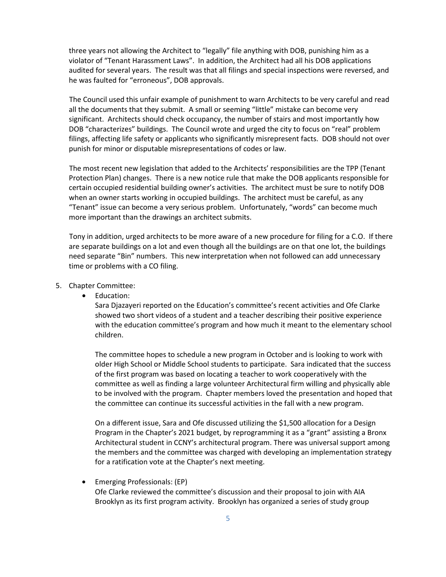three years not allowing the Architect to "legally" file anything with DOB, punishing him as a violator of "Tenant Harassment Laws". In addition, the Architect had all his DOB applications audited for several years. The result was that all filings and special inspections were reversed, and he was faulted for "erroneous", DOB approvals.

The Council used this unfair example of punishment to warn Architects to be very careful and read all the documents that they submit. A small or seeming "little" mistake can become very significant. Architects should check occupancy, the number of stairs and most importantly how DOB "characterizes" buildings. The Council wrote and urged the city to focus on "real" problem filings, affecting life safety or applicants who significantly misrepresent facts. DOB should not over punish for minor or disputable misrepresentations of codes or law.

The most recent new legislation that added to the Architects' responsibilities are the TPP (Tenant Protection Plan) changes. There is a new notice rule that make the DOB applicants responsible for certain occupied residential building owner's activities. The architect must be sure to notify DOB when an owner starts working in occupied buildings. The architect must be careful, as any "Tenant" issue can become a very serious problem. Unfortunately, "words" can become much more important than the drawings an architect submits.

Tony in addition, urged architects to be more aware of a new procedure for filing for a C.O. If there are separate buildings on a lot and even though all the buildings are on that one lot, the buildings need separate "Bin" numbers. This new interpretation when not followed can add unnecessary time or problems with a CO filing.

- 5. Chapter Committee:
	- Education:

Sara Djazayeri reported on the Education's committee's recent activities and Ofe Clarke showed two short videos of a student and a teacher describing their positive experience with the education committee's program and how much it meant to the elementary school children.

The committee hopes to schedule a new program in October and is looking to work with older High School or Middle School students to participate. Sara indicated that the success of the first program was based on locating a teacher to work cooperatively with the committee as well as finding a large volunteer Architectural firm willing and physically able to be involved with the program. Chapter members loved the presentation and hoped that the committee can continue its successful activities in the fall with a new program.

On a different issue, Sara and Ofe discussed utilizing the \$1,500 allocation for a Design Program in the Chapter's 2021 budget, by reprogramming it as a "grant" assisting a Bronx Architectural student in CCNY's architectural program. There was universal support among the members and the committee was charged with developing an implementation strategy for a ratification vote at the Chapter's next meeting.

• Emerging Professionals: (EP) Ofe Clarke reviewed the committee's discussion and their proposal to join with AIA Brooklyn as its first program activity. Brooklyn has organized a series of study group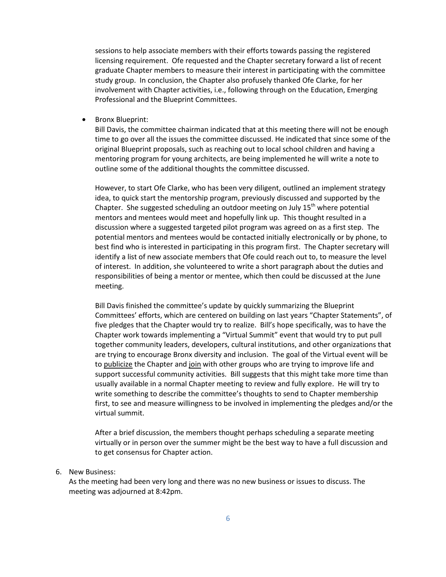sessions to help associate members with their efforts towards passing the registered licensing requirement. Ofe requested and the Chapter secretary forward a list of recent graduate Chapter members to measure their interest in participating with the committee study group. In conclusion, the Chapter also profusely thanked Ofe Clarke, for her involvement with Chapter activities, i.e., following through on the Education, Emerging Professional and the Blueprint Committees.

• Bronx Blueprint:

Bill Davis, the committee chairman indicated that at this meeting there will not be enough time to go over all the issues the committee discussed. He indicated that since some of the original Blueprint proposals, such as reaching out to local school children and having a mentoring program for young architects, are being implemented he will write a note to outline some of the additional thoughts the committee discussed.

However, to start Ofe Clarke, who has been very diligent, outlined an implement strategy idea, to quick start the mentorship program, previously discussed and supported by the Chapter. She suggested scheduling an outdoor meeting on July 15<sup>th</sup> where potential mentors and mentees would meet and hopefully link up. This thought resulted in a discussion where a suggested targeted pilot program was agreed on as a first step. The potential mentors and mentees would be contacted initially electronically or by phone, to best find who is interested in participating in this program first. The Chapter secretary will identify a list of new associate members that Ofe could reach out to, to measure the level of interest. In addition, she volunteered to write a short paragraph about the duties and responsibilities of being a mentor or mentee, which then could be discussed at the June meeting.

Bill Davis finished the committee's update by quickly summarizing the Blueprint Committees' efforts, which are centered on building on last years "Chapter Statements", of five pledges that the Chapter would try to realize. Bill's hope specifically, was to have the Chapter work towards implementing a "Virtual Summit" event that would try to put pull together community leaders, developers, cultural institutions, and other organizations that are trying to encourage Bronx diversity and inclusion. The goal of the Virtual event will be to publicize the Chapter and join with other groups who are trying to improve life and support successful community activities. Bill suggests that this might take more time than usually available in a normal Chapter meeting to review and fully explore. He will try to write something to describe the committee's thoughts to send to Chapter membership first, to see and measure willingness to be involved in implementing the pledges and/or the virtual summit.

After a brief discussion, the members thought perhaps scheduling a separate meeting virtually or in person over the summer might be the best way to have a full discussion and to get consensus for Chapter action.

#### 6. New Business:

As the meeting had been very long and there was no new business or issues to discuss. The meeting was adjourned at 8:42pm.